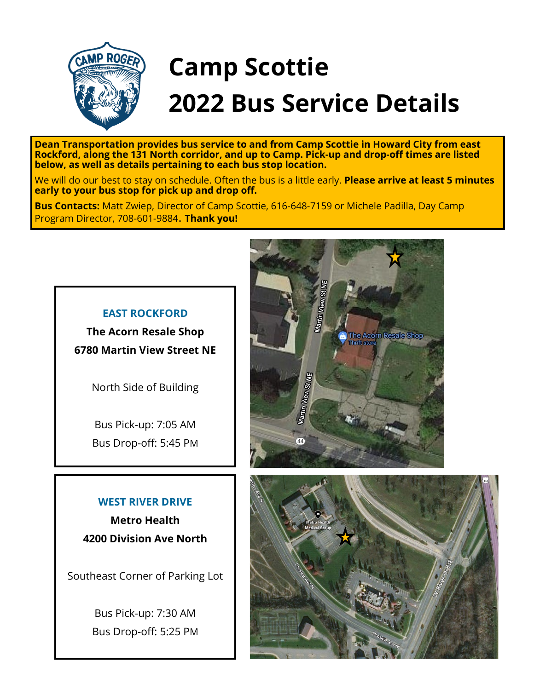

# **Camp Scottie 2022 Bus Service Details**

**Dean Transportation provides bus service to and from Camp Scottie in Howard City from east Rockford, along the 131 North corridor, and up to Camp. Pick-up and drop-off times are listed below, as well as details pertaining to each bus stop location.**

We will do our best to stay on schedule. Often the bus is a little early. **Please arrive at least 5 minutes early to your bus stop for pick up and drop off.**

**Bus Contacts:** Matt Zwiep, Director of Camp Scottie, 616-648-7159 or Michele Padilla, Day Camp Program Director, 708-601-9884. **Thank you!**

#### **EAST ROCKFORD**

**The Acorn Resale Shop 6780 Martin View Street NE**

North Side of Building

Bus Pick-up: 7:05 AM Bus Drop-off: 5:45 PM

## **WEST RIVER DRIVE Metro Health**

**4200 Division Ave North**

Southeast Corner of Parking Lot

Bus Pick-up: 7:30 AM Bus Drop-off: 5:25 PM



![](_page_0_Picture_14.jpeg)